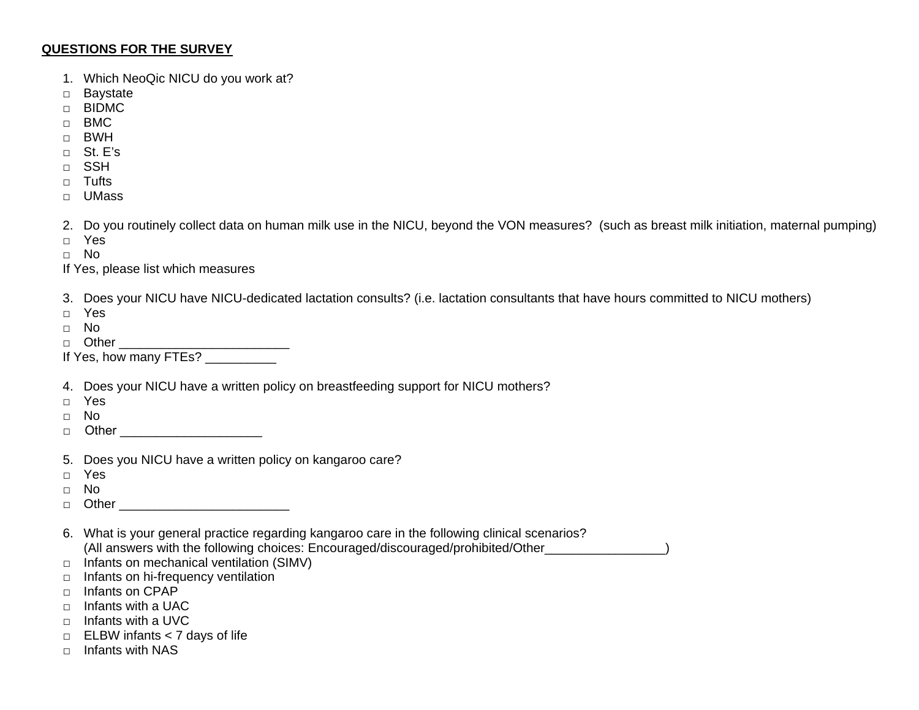## **QUESTIONS FOR THE SURVEY**

- 1. Which NeoQic NICU do you work at?
- □ Baystate
- □ BIDMC
- □ BMC
- □ BWH
- □ St. E's
- □ SSH
- □ Tufts
- □ UMass

2. Do you routinely collect data on human milk use in the NICU, beyond the VON measures? (such as breast milk initiation, maternal pumping)

- □ Yes
- □ No
- If Yes, please list which measures
- 3. Does your NICU have NICU-dedicated lactation consults? (i.e. lactation consultants that have hours committed to NICU mothers)
- □ Yes
- □ No
- □ Other \_\_\_\_\_\_\_\_\_\_\_\_\_\_\_\_\_\_\_\_\_\_\_\_\_\_\_\_\_\_
- If Yes, how many FTEs? \_\_\_\_\_\_\_\_\_\_
- 4. Does your NICU have a written policy on breastfeeding support for NICU mothers?
- □ Yes
- □ No
- □ Other \_\_\_\_\_\_\_\_\_\_\_\_\_\_\_\_\_\_\_\_
- 5. Does you NICU have a written policy on kangaroo care?
- □ Yes
- □ No
- □ Other \_\_\_\_\_\_\_\_\_\_\_\_\_\_\_\_\_\_\_\_\_\_\_\_
- 6. What is your general practice regarding kangaroo care in the following clinical scenarios? (All answers with the following choices: Encouraged/discouraged/prohibited/Other\_\_\_\_\_\_\_\_\_\_\_\_\_\_\_\_\_)
- □ Infants on mechanical ventilation (SIMV)
- □ Infants on hi-frequency ventilation
- □ Infants on CPAP
- □ Infants with a UAC
- □ Infants with a UVC
- □ ELBW infants < 7 days of life
- □ Infants with NAS